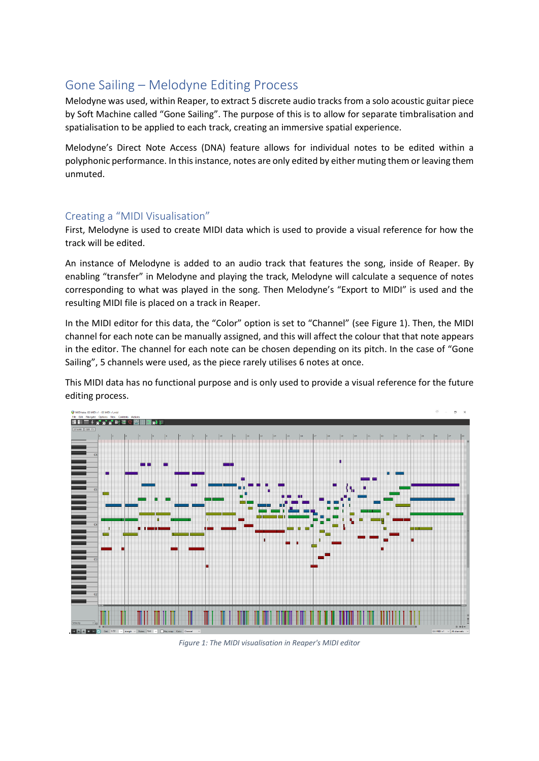## Gone Sailing – Melodyne Editing Process

Melodyne was used, within Reaper, to extract 5 discrete audio tracks from a solo acoustic guitar piece by Soft Machine called "Gone Sailing". The purpose of this is to allow for separate timbralisation and spatialisation to be applied to each track, creating an immersive spatial experience.

Melodyne's Direct Note Access (DNA) feature allows for individual notes to be edited within a polyphonic performance. In this instance, notes are only edited by either muting them or leaving them unmuted.

## Creating a "MIDI Visualisation"

First, Melodyne is used to create MIDI data which is used to provide a visual reference for how the track will be edited.

An instance of Melodyne is added to an audio track that features the song, inside of Reaper. By enabling "transfer" in Melodyne and playing the track, Melodyne will calculate a sequence of notes corresponding to what was played in the song. Then Melodyne's "Export to MIDI" is used and the resulting MIDI file is placed on a track in Reaper.

In the MIDI editor for this data, the "Color" option is set to "Channel" (see Figure 1). Then, the MIDI channel for each note can be manually assigned, and this will affect the colour that that note appears in the editor. The channel for each note can be chosen depending on its pitch. In the case of "Gone Sailing", 5 channels were used, as the piece rarely utilises 6 notes at once.

This MIDI data has no functional purpose and is only used to provide a visual reference for the future editing process.



*Figure 1: The MIDI visualisation in Reaper's MIDI editor*